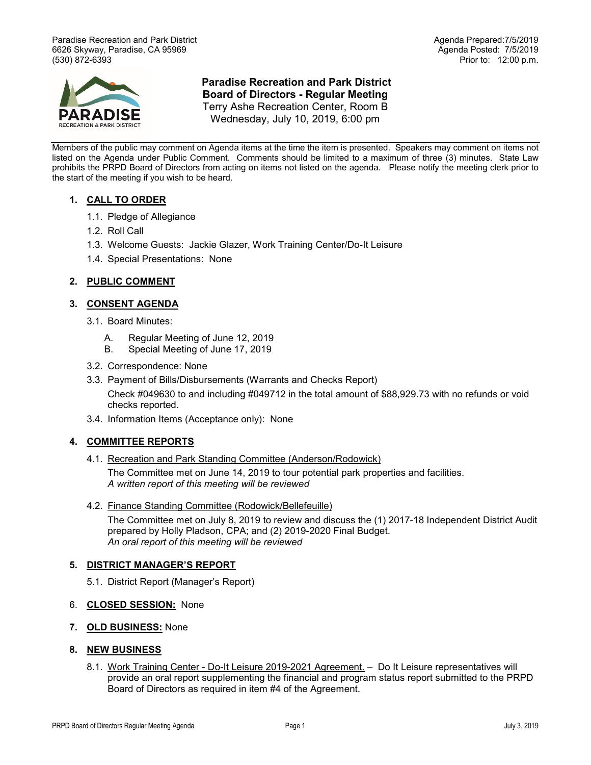Paradise Recreation and Park District Agenda Prepared:7/5/2019 6626 Skyway, Paradise, CA 95969 (530) 872-6393 Prior to: 12:00 p.m.



## **Paradise Recreation and Park District Board of Directors - Regular Meeting** Terry Ashe Recreation Center, Room B Wednesday, July 10, 2019, 6:00 pm

Members of the public may comment on Agenda items at the time the item is presented. Speakers may comment on items not listed on the Agenda under Public Comment. Comments should be limited to a maximum of three (3) minutes. State Law prohibits the PRPD Board of Directors from acting on items not listed on the agenda. Please notify the meeting clerk prior to the start of the meeting if you wish to be heard.

# **1. CALL TO ORDER**

- 1.1. Pledge of Allegiance
- 1.2. Roll Call
- 1.3. Welcome Guests: Jackie Glazer, Work Training Center/Do-It Leisure
- 1.4. Special Presentations:None

## **2. PUBLIC COMMENT**

## **3. CONSENT AGENDA**

- 3.1. Board Minutes:
	- A. Regular Meeting of June 12, 2019
	- B. Special Meeting of June 17, 2019
- 3.2. Correspondence: None
- 3.3. Payment of Bills/Disbursements (Warrants and Checks Report) Check #049630 to and including #049712 in the total amount of \$88,929.73 with no refunds or void checks reported.
- 3.4. Information Items (Acceptance only): None

## **4. COMMITTEE REPORTS**

4.1. Recreation and Park Standing Committee (Anderson/Rodowick)

The Committee met on June 14, 2019 to tour potential park properties and facilities. *A written report of this meeting will be reviewed*

#### 4.2. Finance Standing Committee (Rodowick/Bellefeuille)

The Committee met on July 8, 2019 to review and discuss the (1) 2017-18 Independent District Audit prepared by Holly Pladson, CPA; and (2) 2019-2020 Final Budget. *An oral report of this meeting will be reviewed*

#### **5. DISTRICT MANAGER'S REPORT**

- 5.1. District Report (Manager's Report)
- 6. **CLOSED SESSION:** None
- **7. OLD BUSINESS:** None

#### **8. NEW BUSINESS**

8.1. Work Training Center - Do-It Leisure 2019-2021 Agreement. - Do It Leisure representatives will provide an oral report supplementing the financial and program status report submitted to the PRPD Board of Directors as required in item #4 of the Agreement.